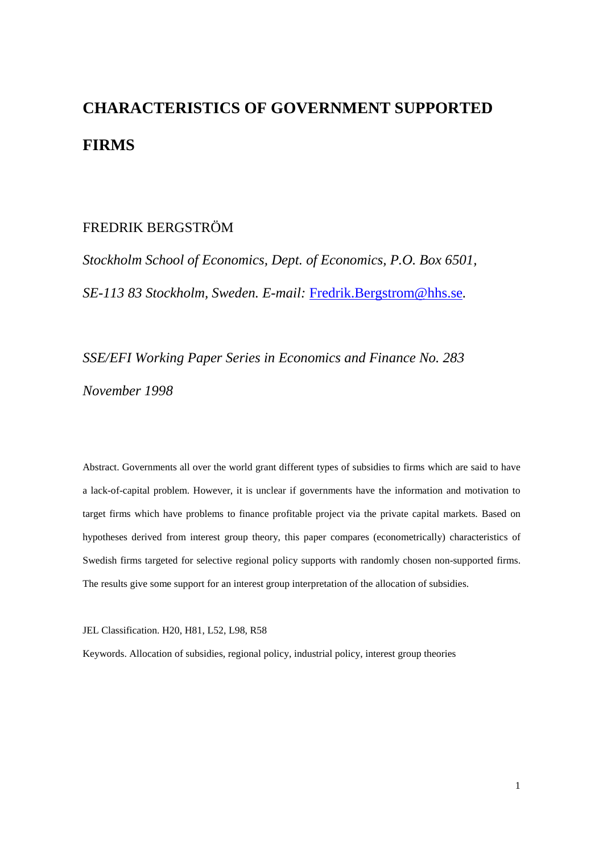# **CHARACTERISTICS OF GOVERNMENT SUPPORTED FIRMS**

## FREDRIK BERGSTRÖM

*Stockholm School of Economics, Dept. of Economics, P.O. Box 6501, SE-113 83 Stockholm, Sweden. E-mail:* Fredrik.Bergstrom@hhs.se*.*

*SSE/EFI Working Paper Series in Economics and Finance No. 283 November 1998*

Abstract. Governments all over the world grant different types of subsidies to firms which are said to have a lack-of-capital problem. However, it is unclear if governments have the information and motivation to target firms which have problems to finance profitable project via the private capital markets. Based on hypotheses derived from interest group theory, this paper compares (econometrically) characteristics of Swedish firms targeted for selective regional policy supports with randomly chosen non-supported firms. The results give some support for an interest group interpretation of the allocation of subsidies.

JEL Classification. H20, H81, L52, L98, R58

Keywords. Allocation of subsidies, regional policy, industrial policy, interest group theories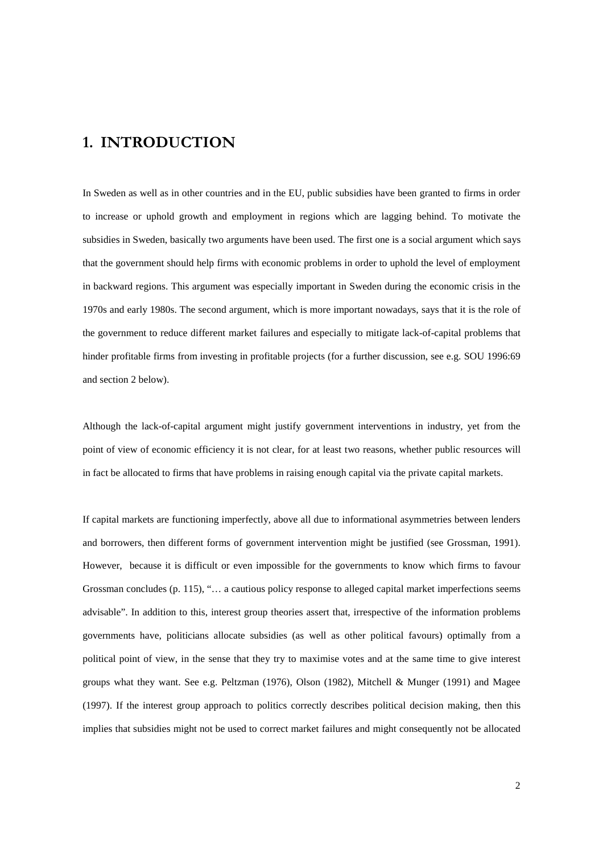# 1. INTRODUCTION

In Sweden as well as in other countries and in the EU, public subsidies have been granted to firms in order to increase or uphold growth and employment in regions which are lagging behind. To motivate the subsidies in Sweden, basically two arguments have been used. The first one is a social argument which says that the government should help firms with economic problems in order to uphold the level of employment in backward regions. This argument was especially important in Sweden during the economic crisis in the 1970s and early 1980s. The second argument, which is more important nowadays, says that it is the role of the government to reduce different market failures and especially to mitigate lack-of-capital problems that hinder profitable firms from investing in profitable projects (for a further discussion, see e.g. SOU 1996:69 and section 2 below).

Although the lack-of-capital argument might justify government interventions in industry, yet from the point of view of economic efficiency it is not clear, for at least two reasons, whether public resources will in fact be allocated to firms that have problems in raising enough capital via the private capital markets.

If capital markets are functioning imperfectly, above all due to informational asymmetries between lenders and borrowers, then different forms of government intervention might be justified (see Grossman, 1991). However, because it is difficult or even impossible for the governments to know which firms to favour Grossman concludes (p. 115), "… a cautious policy response to alleged capital market imperfections seems advisable". In addition to this, interest group theories assert that, irrespective of the information problems governments have, politicians allocate subsidies (as well as other political favours) optimally from a political point of view, in the sense that they try to maximise votes and at the same time to give interest groups what they want. See e.g. Peltzman (1976), Olson (1982), Mitchell & Munger (1991) and Magee (1997). If the interest group approach to politics correctly describes political decision making, then this implies that subsidies might not be used to correct market failures and might consequently not be allocated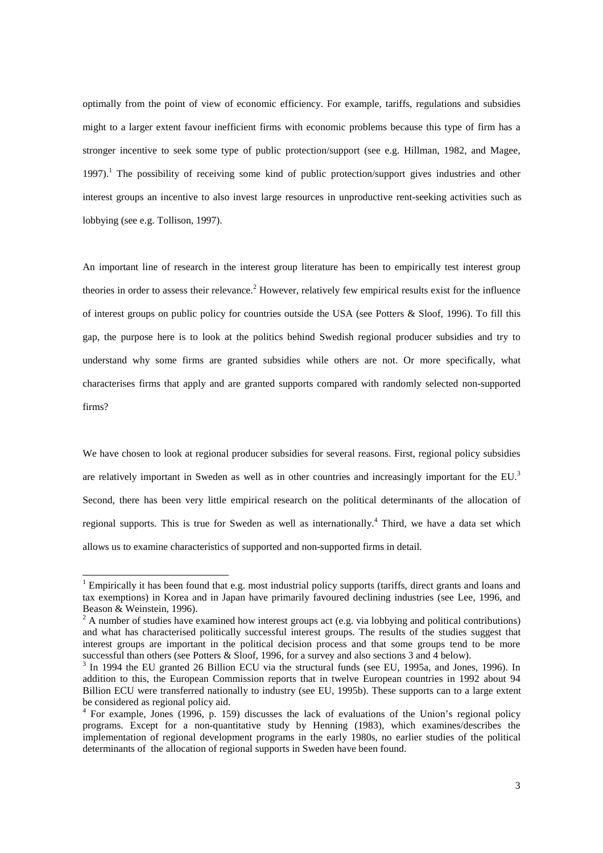optimally from the point of view of economic efficiency. For example, tariffs, regulations and subsidies might to a larger extent favour inefficient firms with economic problems because this type of firm has a stronger incentive to seek some type of public protection/support (see e.g. Hillman, 1982, and Magee, 1997).<sup>1</sup> The possibility of receiving some kind of public protection/support gives industries and other interest groups an incentive to also invest large resources in unproductive rent-seeking activities such as lobbying (see e.g. Tollison, 1997).

An important line of research in the interest group literature has been to empirically test interest group theories in order to assess their relevance.<sup>2</sup> However, relatively few empirical results exist for the influence of interest groups on public policy for countries outside the USA (see Potters & Sloof, 1996). To fill this gap, the purpose here is to look at the politics behind Swedish regional producer subsidies and try to understand why some firms are granted subsidies while others are not. Or more specifically, what characterises firms that apply and are granted supports compared with randomly selected non-supported firms?

We have chosen to look at regional producer subsidies for several reasons. First, regional policy subsidies are relatively important in Sweden as well as in other countries and increasingly important for the EU.<sup>3</sup> Second, there has been very little empirical research on the political determinants of the allocation of regional supports. This is true for Sweden as well as internationally.<sup>4</sup> Third, we have a data set which allows us to examine characteristics of supported and non-supported firms in detail.

<sup>&</sup>lt;sup>1</sup> Empirically it has been found that e.g. most industrial policy supports (tariffs, direct grants and loans and tax exemptions) in Korea and in Japan have primarily favoured declining industries (see Lee, 1996, and Beason & Weinstein, 1996).

 $2^2$  A number of studies have examined how interest groups act (e.g. via lobbying and political contributions) and what has characterised politically successful interest groups. The results of the studies suggest that interest groups are important in the political decision process and that some groups tend to be more successful than others (see Potters & Sloof, 1996, for a survey and also sections 3 and 4 below).

<sup>&</sup>lt;sup>3</sup> In 1994 the EU granted 26 Billion ECU via the structural funds (see EU, 1995a, and Jones, 1996). In addition to this, the European Commission reports that in twelve European countries in 1992 about 94 Billion ECU were transferred nationally to industry (see EU, 1995b). These supports can to a large extent be considered as regional policy aid.

<sup>&</sup>lt;sup>4</sup> For example, Jones (1996, p. 159) discusses the lack of evaluations of the Union's regional policy programs. Except for a non-quantitative study by Henning (1983), which examines/describes the implementation of regional development programs in the early 1980s, no earlier studies of the political determinants of the allocation of regional supports in Sweden have been found.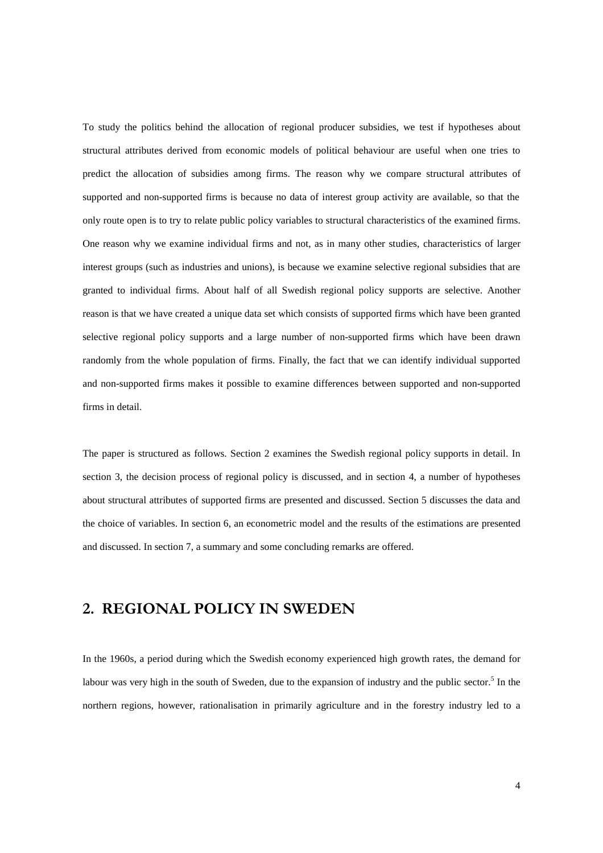To study the politics behind the allocation of regional producer subsidies, we test if hypotheses about structural attributes derived from economic models of political behaviour are useful when one tries to predict the allocation of subsidies among firms. The reason why we compare structural attributes of supported and non-supported firms is because no data of interest group activity are available, so that the only route open is to try to relate public policy variables to structural characteristics of the examined firms. One reason why we examine individual firms and not, as in many other studies, characteristics of larger interest groups (such as industries and unions), is because we examine selective regional subsidies that are granted to individual firms. About half of all Swedish regional policy supports are selective. Another reason is that we have created a unique data set which consists of supported firms which have been granted selective regional policy supports and a large number of non-supported firms which have been drawn randomly from the whole population of firms. Finally, the fact that we can identify individual supported and non-supported firms makes it possible to examine differences between supported and non-supported firms in detail.

The paper is structured as follows. Section 2 examines the Swedish regional policy supports in detail. In section 3, the decision process of regional policy is discussed, and in section 4, a number of hypotheses about structural attributes of supported firms are presented and discussed. Section 5 discusses the data and the choice of variables. In section 6, an econometric model and the results of the estimations are presented and discussed. In section 7, a summary and some concluding remarks are offered.

# 2. REGIONAL POLICY IN SWEDEN

In the 1960s, a period during which the Swedish economy experienced high growth rates, the demand for labour was very high in the south of Sweden, due to the expansion of industry and the public sector.<sup>5</sup> In the northern regions, however, rationalisation in primarily agriculture and in the forestry industry led to a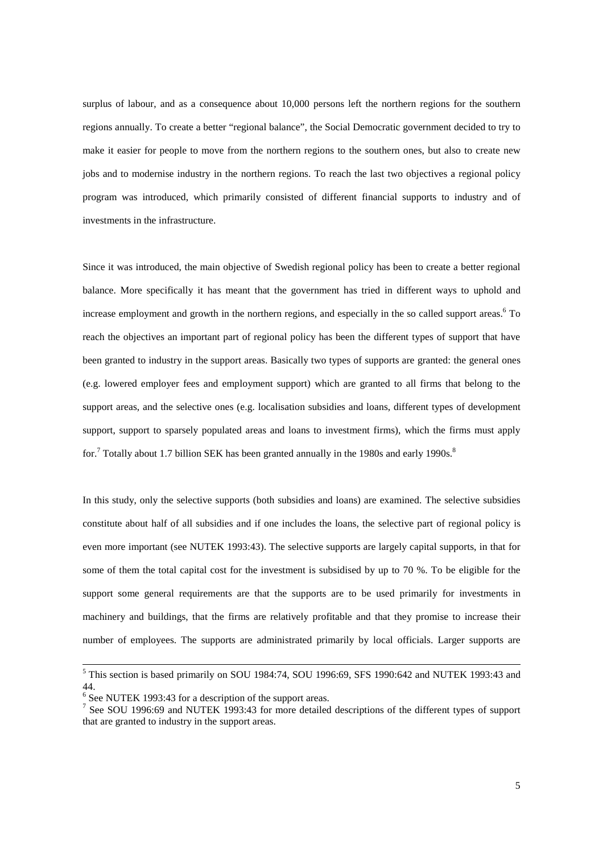surplus of labour, and as a consequence about 10,000 persons left the northern regions for the southern regions annually. To create a better "regional balance", the Social Democratic government decided to try to make it easier for people to move from the northern regions to the southern ones, but also to create new jobs and to modernise industry in the northern regions. To reach the last two objectives a regional policy program was introduced, which primarily consisted of different financial supports to industry and of investments in the infrastructure.

Since it was introduced, the main objective of Swedish regional policy has been to create a better regional balance. More specifically it has meant that the government has tried in different ways to uphold and increase employment and growth in the northern regions, and especially in the so called support areas.<sup>6</sup> To reach the objectives an important part of regional policy has been the different types of support that have been granted to industry in the support areas. Basically two types of supports are granted: the general ones (e.g. lowered employer fees and employment support) which are granted to all firms that belong to the support areas, and the selective ones (e.g. localisation subsidies and loans, different types of development support, support to sparsely populated areas and loans to investment firms), which the firms must apply for.<sup>7</sup> Totally about 1.7 billion SEK has been granted annually in the 1980s and early 1990s.<sup>8</sup>

In this study, only the selective supports (both subsidies and loans) are examined. The selective subsidies constitute about half of all subsidies and if one includes the loans, the selective part of regional policy is even more important (see NUTEK 1993:43). The selective supports are largely capital supports, in that for some of them the total capital cost for the investment is subsidised by up to 70 %. To be eligible for the support some general requirements are that the supports are to be used primarily for investments in machinery and buildings, that the firms are relatively profitable and that they promise to increase their number of employees. The supports are administrated primarily by local officials. Larger supports are

<sup>&</sup>lt;sup>5</sup> This section is based primarily on SOU 1984:74, SOU 1996:69, SFS 1990:642 and NUTEK 1993:43 and 44.

<sup>&</sup>lt;sup>6</sup> See NUTEK 1993:43 for a description of the support areas.

<sup>&</sup>lt;sup>7</sup> See SOU 1996:69 and NUTEK 1993:43 for more detailed descriptions of the different types of support that are granted to industry in the support areas.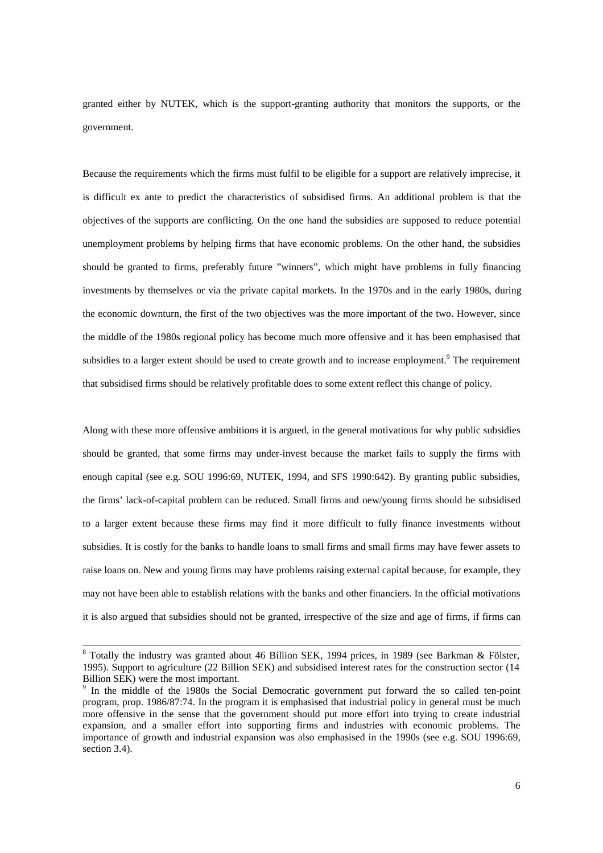granted either by NUTEK, which is the support-granting authority that monitors the supports, or the government.

Because the requirements which the firms must fulfil to be eligible for a support are relatively imprecise, it is difficult ex ante to predict the characteristics of subsidised firms. An additional problem is that the objectives of the supports are conflicting. On the one hand the subsidies are supposed to reduce potential unemployment problems by helping firms that have economic problems. On the other hand, the subsidies should be granted to firms, preferably future "winners", which might have problems in fully financing investments by themselves or via the private capital markets. In the 1970s and in the early 1980s, during the economic downturn, the first of the two objectives was the more important of the two. However, since the middle of the 1980s regional policy has become much more offensive and it has been emphasised that subsidies to a larger extent should be used to create growth and to increase employment.<sup>9</sup> The requirement that subsidised firms should be relatively profitable does to some extent reflect this change of policy.

Along with these more offensive ambitions it is argued, in the general motivations for why public subsidies should be granted, that some firms may under-invest because the market fails to supply the firms with enough capital (see e.g. SOU 1996:69, NUTEK, 1994, and SFS 1990:642). By granting public subsidies, the firms' lack-of-capital problem can be reduced. Small firms and new/young firms should be subsidised to a larger extent because these firms may find it more difficult to fully finance investments without subsidies. It is costly for the banks to handle loans to small firms and small firms may have fewer assets to raise loans on. New and young firms may have problems raising external capital because, for example, they may not have been able to establish relations with the banks and other financiers. In the official motivations it is also argued that subsidies should not be granted, irrespective of the size and age of firms, if firms can

<sup>&</sup>lt;sup>8</sup> Totally the industry was granted about 46 Billion SEK, 1994 prices, in 1989 (see Barkman & Fölster, 1995). Support to agriculture (22 Billion SEK) and subsidised interest rates for the construction sector (14 Billion SEK) were the most important.

<sup>&</sup>lt;sup>9</sup> In the middle of the 1980s the Social Democratic government put forward the so called ten-point program, prop. 1986/87:74. In the program it is emphasised that industrial policy in general must be much more offensive in the sense that the government should put more effort into trying to create industrial expansion, and a smaller effort into supporting firms and industries with economic problems. The importance of growth and industrial expansion was also emphasised in the 1990s (see e.g. SOU 1996:69, section 3.4).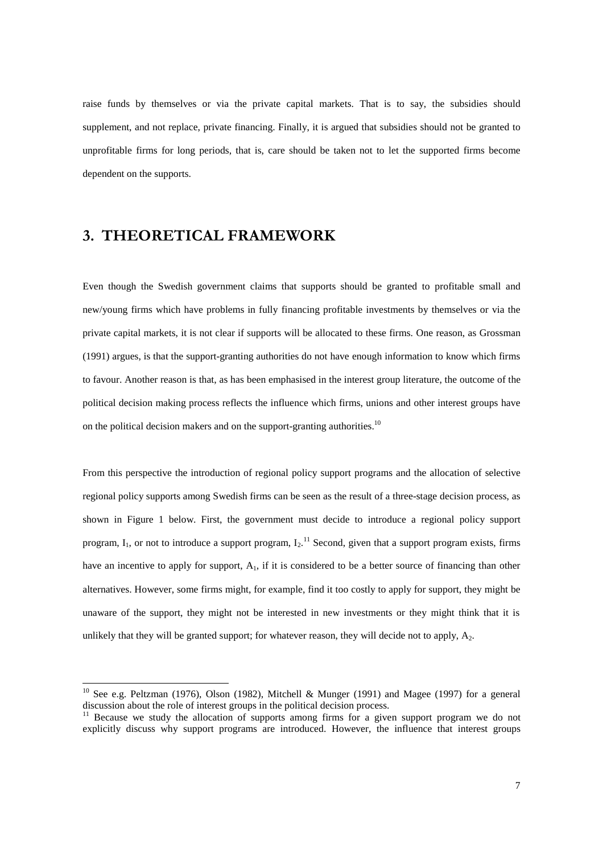raise funds by themselves or via the private capital markets. That is to say, the subsidies should supplement, and not replace, private financing. Finally, it is argued that subsidies should not be granted to unprofitable firms for long periods, that is, care should be taken not to let the supported firms become dependent on the supports.

# 3. THEORETICAL FRAMEWORK

l

Even though the Swedish government claims that supports should be granted to profitable small and new/young firms which have problems in fully financing profitable investments by themselves or via the private capital markets, it is not clear if supports will be allocated to these firms. One reason, as Grossman (1991) argues, is that the support-granting authorities do not have enough information to know which firms to favour. Another reason is that, as has been emphasised in the interest group literature, the outcome of the political decision making process reflects the influence which firms, unions and other interest groups have on the political decision makers and on the support-granting authorities.<sup>10</sup>

From this perspective the introduction of regional policy support programs and the allocation of selective regional policy supports among Swedish firms can be seen as the result of a three-stage decision process, as shown in Figure 1 below. First, the government must decide to introduce a regional policy support program,  $I_1$ , or not to introduce a support program,  $I_2$ .<sup>11</sup> Second, given that a support program exists, firms have an incentive to apply for support,  $A_1$ , if it is considered to be a better source of financing than other alternatives. However, some firms might, for example, find it too costly to apply for support, they might be unaware of the support, they might not be interested in new investments or they might think that it is unlikely that they will be granted support; for whatever reason, they will decide not to apply,  $A_2$ .

<sup>&</sup>lt;sup>10</sup> See e.g. Peltzman (1976), Olson (1982), Mitchell & Munger (1991) and Magee (1997) for a general discussion about the role of interest groups in the political decision process.

<sup>&</sup>lt;sup>11</sup> Because we study the allocation of supports among firms for a given support program we do not explicitly discuss why support programs are introduced. However, the influence that interest groups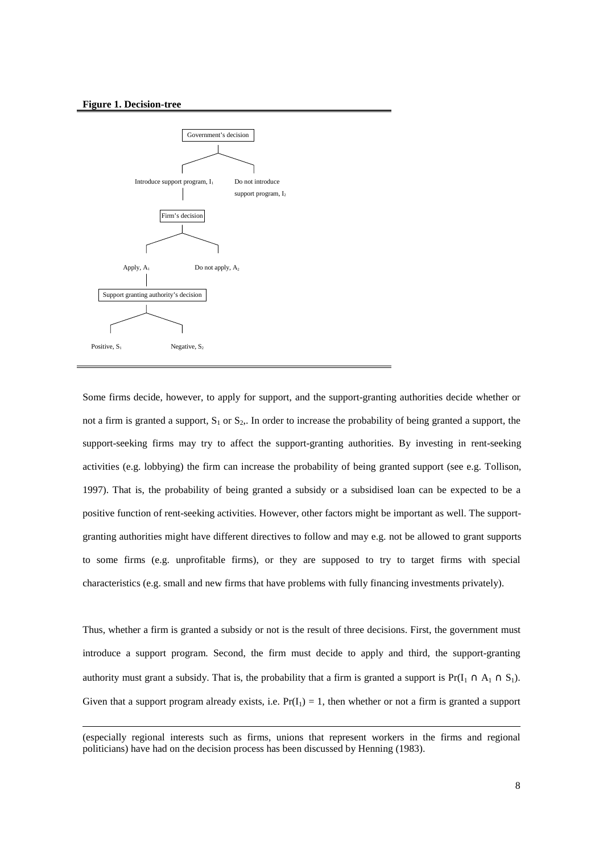#### **Figure 1. Decision-tree**

-



Some firms decide, however, to apply for support, and the support-granting authorities decide whether or not a firm is granted a support,  $S_1$  or  $S_2$ . In order to increase the probability of being granted a support, the support-seeking firms may try to affect the support-granting authorities. By investing in rent-seeking activities (e.g. lobbying) the firm can increase the probability of being granted support (see e.g. Tollison, 1997). That is, the probability of being granted a subsidy or a subsidised loan can be expected to be a positive function of rent-seeking activities. However, other factors might be important as well. The supportgranting authorities might have different directives to follow and may e.g. not be allowed to grant supports to some firms (e.g. unprofitable firms), or they are supposed to try to target firms with special characteristics (e.g. small and new firms that have problems with fully financing investments privately).

Thus, whether a firm is granted a subsidy or not is the result of three decisions. First, the government must introduce a support program. Second, the firm must decide to apply and third, the support-granting authority must grant a subsidy. That is, the probability that a firm is granted a support is  $Pr(I_1 \cap A_1 \cap S_1)$ . Given that a support program already exists, i.e.  $Pr(I_1) = 1$ , then whether or not a firm is granted a support

<sup>(</sup>especially regional interests such as firms, unions that represent workers in the firms and regional politicians) have had on the decision process has been discussed by Henning (1983).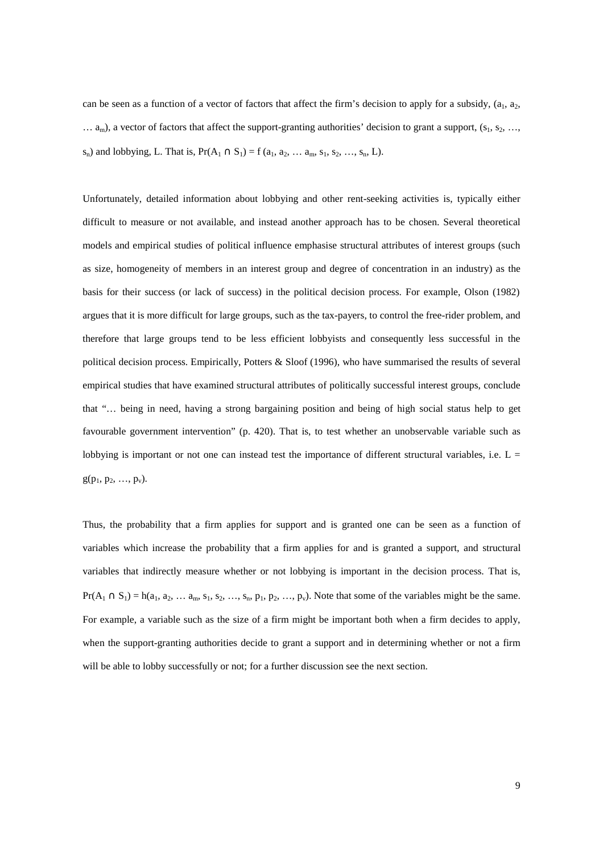can be seen as a function of a vector of factors that affect the firm's decision to apply for a subsidy,  $(a_1, a_2, a_3)$  $\ldots$  a<sub>m</sub>), a vector of factors that affect the support-granting authorities' decision to grant a support, ( $s_1$ ,  $s_2$ , ..., s<sub>n</sub>) and lobbying, L. That is,  $Pr(A_1 \cap S_1) = f (a_1, a_2, \dots a_m, s_1, s_2, \dots, s_n, L)$ .

Unfortunately, detailed information about lobbying and other rent-seeking activities is, typically either difficult to measure or not available, and instead another approach has to be chosen. Several theoretical models and empirical studies of political influence emphasise structural attributes of interest groups (such as size, homogeneity of members in an interest group and degree of concentration in an industry) as the basis for their success (or lack of success) in the political decision process. For example, Olson (1982) argues that it is more difficult for large groups, such as the tax-payers, to control the free-rider problem, and therefore that large groups tend to be less efficient lobbyists and consequently less successful in the political decision process. Empirically, Potters & Sloof (1996), who have summarised the results of several empirical studies that have examined structural attributes of politically successful interest groups, conclude that "… being in need, having a strong bargaining position and being of high social status help to get favourable government intervention" (p. 420). That is, to test whether an unobservable variable such as lobbying is important or not one can instead test the importance of different structural variables, i.e.  $L =$  $g(p_1, p_2, ..., p_v)$ .

Thus, the probability that a firm applies for support and is granted one can be seen as a function of variables which increase the probability that a firm applies for and is granted a support, and structural variables that indirectly measure whether or not lobbying is important in the decision process. That is,  $Pr(A_1 \cap S_1) = h(a_1, a_2, \ldots a_m, s_1, s_2, \ldots, s_n, p_1, p_2, \ldots, p_v)$ . Note that some of the variables might be the same. For example, a variable such as the size of a firm might be important both when a firm decides to apply, when the support-granting authorities decide to grant a support and in determining whether or not a firm will be able to lobby successfully or not; for a further discussion see the next section.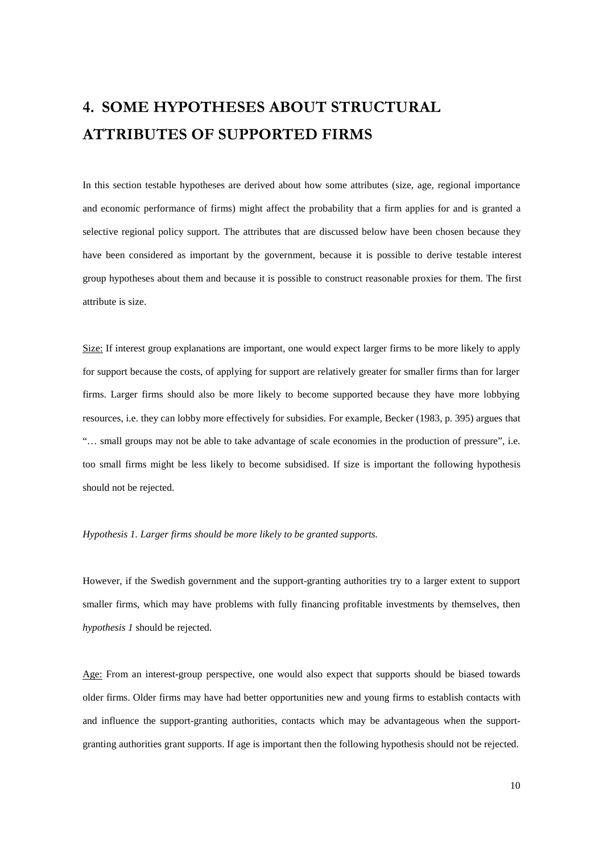# 4. SOME HYPOTHESES ABOUT STRUCTURAL **ATTRIBUTES OF SUPPORTED FIRMS**

In this section testable hypotheses are derived about how some attributes (size, age, regional importance and economic performance of firms) might affect the probability that a firm applies for and is granted a selective regional policy support. The attributes that are discussed below have been chosen because they have been considered as important by the government, because it is possible to derive testable interest group hypotheses about them and because it is possible to construct reasonable proxies for them. The first attribute is size.

Size: If interest group explanations are important, one would expect larger firms to be more likely to apply for support because the costs, of applying for support are relatively greater for smaller firms than for larger firms. Larger firms should also be more likely to become supported because they have more lobbying resources, i.e. they can lobby more effectively for subsidies. For example, Becker (1983, p. 395) argues that "… small groups may not be able to take advantage of scale economies in the production of pressure", i.e. too small firms might be less likely to become subsidised. If size is important the following hypothesis should not be rejected.

#### *Hypothesis 1. Larger firms should be more likely to be granted supports.*

However, if the Swedish government and the support-granting authorities try to a larger extent to support smaller firms, which may have problems with fully financing profitable investments by themselves, then *hypothesis 1* should be rejected.

Age: From an interest-group perspective, one would also expect that supports should be biased towards older firms. Older firms may have had better opportunities new and young firms to establish contacts with and influence the support-granting authorities, contacts which may be advantageous when the supportgranting authorities grant supports. If age is important then the following hypothesis should not be rejected.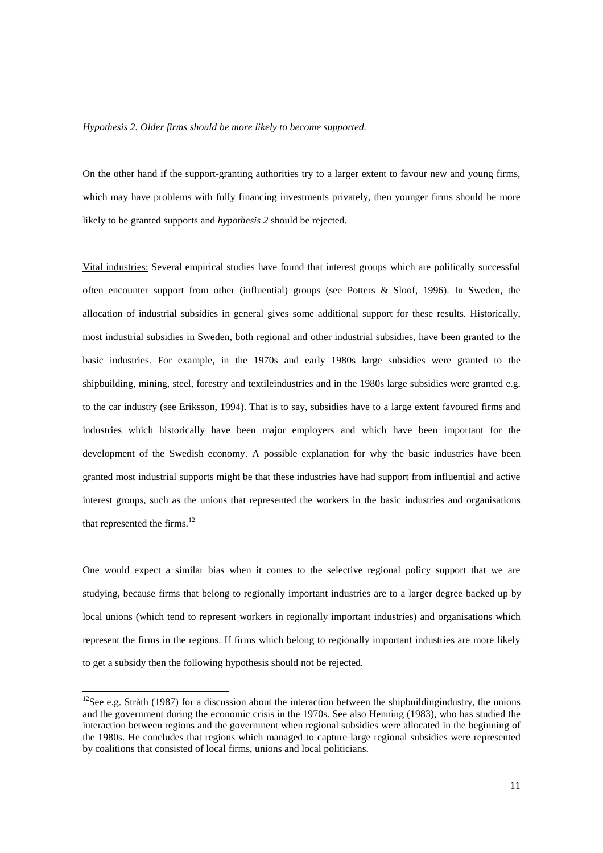#### *Hypothesis 2. Older firms should be more likely to become supported.*

On the other hand if the support-granting authorities try to a larger extent to favour new and young firms, which may have problems with fully financing investments privately, then younger firms should be more likely to be granted supports and *hypothesis 2* should be rejected.

Vital industries: Several empirical studies have found that interest groups which are politically successful often encounter support from other (influential) groups (see Potters & Sloof, 1996). In Sweden, the allocation of industrial subsidies in general gives some additional support for these results. Historically, most industrial subsidies in Sweden, both regional and other industrial subsidies, have been granted to the basic industries. For example, in the 1970s and early 1980s large subsidies were granted to the shipbuilding, mining, steel, forestry and textileindustries and in the 1980s large subsidies were granted e.g. to the car industry (see Eriksson, 1994). That is to say, subsidies have to a large extent favoured firms and industries which historically have been major employers and which have been important for the development of the Swedish economy. A possible explanation for why the basic industries have been granted most industrial supports might be that these industries have had support from influential and active interest groups, such as the unions that represented the workers in the basic industries and organisations that represented the firms.<sup>12</sup>

One would expect a similar bias when it comes to the selective regional policy support that we are studying, because firms that belong to regionally important industries are to a larger degree backed up by local unions (which tend to represent workers in regionally important industries) and organisations which represent the firms in the regions. If firms which belong to regionally important industries are more likely to get a subsidy then the following hypothesis should not be rejected.

-

 $12$ See e.g. Stråth (1987) for a discussion about the interaction between the shipbuildingindustry, the unions and the government during the economic crisis in the 1970s. See also Henning (1983), who has studied the interaction between regions and the government when regional subsidies were allocated in the beginning of the 1980s. He concludes that regions which managed to capture large regional subsidies were represented by coalitions that consisted of local firms, unions and local politicians.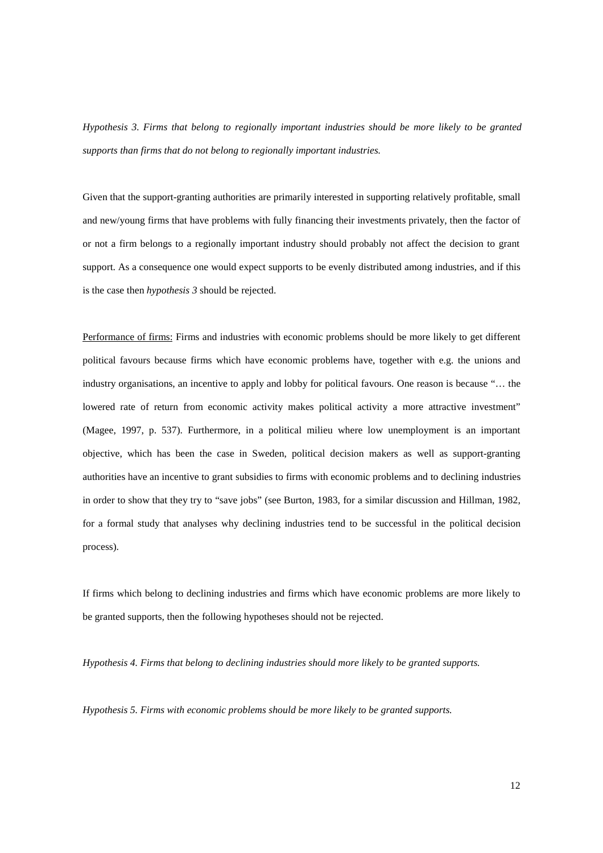*Hypothesis 3. Firms that belong to regionally important industries should be more likely to be granted supports than firms that do not belong to regionally important industries.*

Given that the support-granting authorities are primarily interested in supporting relatively profitable, small and new/young firms that have problems with fully financing their investments privately, then the factor of or not a firm belongs to a regionally important industry should probably not affect the decision to grant support. As a consequence one would expect supports to be evenly distributed among industries, and if this is the case then *hypothesis 3* should be rejected.

Performance of firms: Firms and industries with economic problems should be more likely to get different political favours because firms which have economic problems have, together with e.g. the unions and industry organisations, an incentive to apply and lobby for political favours. One reason is because "… the lowered rate of return from economic activity makes political activity a more attractive investment" (Magee, 1997, p. 537). Furthermore, in a political milieu where low unemployment is an important objective, which has been the case in Sweden, political decision makers as well as support-granting authorities have an incentive to grant subsidies to firms with economic problems and to declining industries in order to show that they try to "save jobs" (see Burton, 1983, for a similar discussion and Hillman, 1982, for a formal study that analyses why declining industries tend to be successful in the political decision process).

If firms which belong to declining industries and firms which have economic problems are more likely to be granted supports, then the following hypotheses should not be rejected.

*Hypothesis 4. Firms that belong to declining industries should more likely to be granted supports.*

*Hypothesis 5. Firms with economic problems should be more likely to be granted supports.*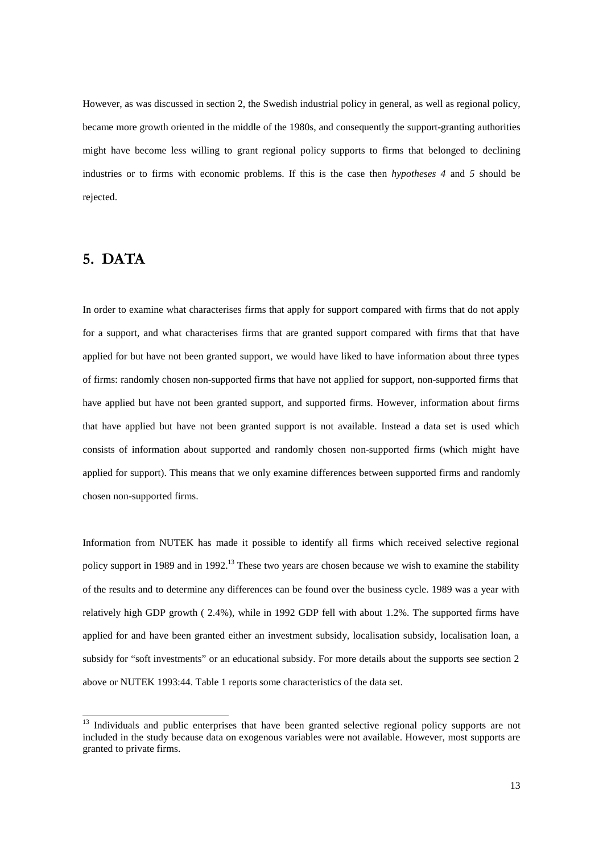However, as was discussed in section 2, the Swedish industrial policy in general, as well as regional policy, became more growth oriented in the middle of the 1980s, and consequently the support-granting authorities might have become less willing to grant regional policy supports to firms that belonged to declining industries or to firms with economic problems. If this is the case then *hypotheses 4* and *5* should be rejected.

### 5. DATA

l

In order to examine what characterises firms that apply for support compared with firms that do not apply for a support, and what characterises firms that are granted support compared with firms that that have applied for but have not been granted support, we would have liked to have information about three types of firms: randomly chosen non-supported firms that have not applied for support, non-supported firms that have applied but have not been granted support, and supported firms. However, information about firms that have applied but have not been granted support is not available. Instead a data set is used which consists of information about supported and randomly chosen non-supported firms (which might have applied for support). This means that we only examine differences between supported firms and randomly chosen non-supported firms.

Information from NUTEK has made it possible to identify all firms which received selective regional policy support in 1989 and in 1992.<sup>13</sup> These two years are chosen because we wish to examine the stability of the results and to determine any differences can be found over the business cycle. 1989 was a year with relatively high GDP growth ( 2.4%), while in 1992 GDP fell with about 1.2%. The supported firms have applied for and have been granted either an investment subsidy, localisation subsidy, localisation loan, a subsidy for "soft investments" or an educational subsidy. For more details about the supports see section 2 above or NUTEK 1993:44. Table 1 reports some characteristics of the data set.

<sup>13</sup> Individuals and public enterprises that have been granted selective regional policy supports are not included in the study because data on exogenous variables were not available. However, most supports are granted to private firms.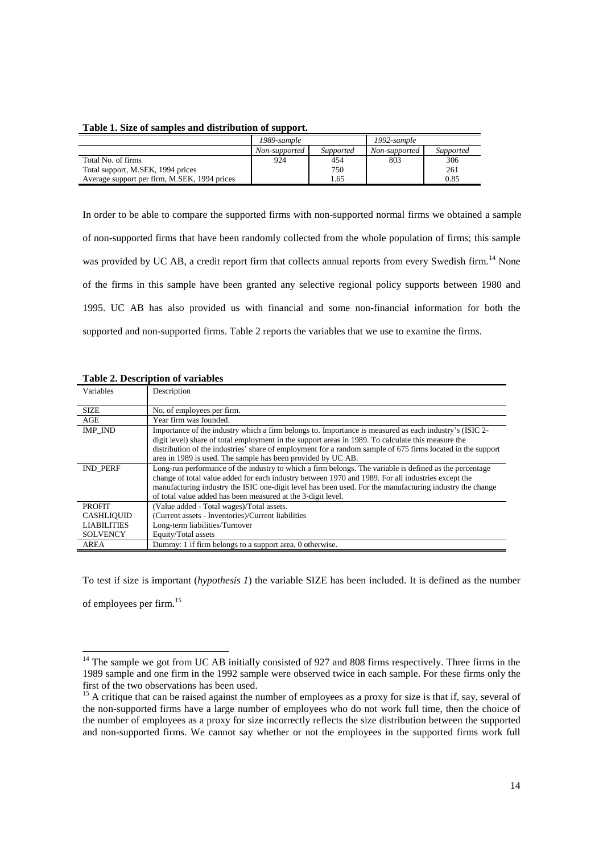#### **Table 1. Size of samples and distribution of support.**

|                                              | 1989-sample   |           | 1992-sample   |           |
|----------------------------------------------|---------------|-----------|---------------|-----------|
|                                              | Non-supported | Supported | Non-supported | Supported |
| Total No. of firms                           | 924           | 454       | 803           | 306       |
| Total support, M.SEK, 1994 prices            |               | 750       |               | 261       |
| Average support per firm, M.SEK, 1994 prices |               | 1.65      |               | 0.85      |

In order to be able to compare the supported firms with non-supported normal firms we obtained a sample of non-supported firms that have been randomly collected from the whole population of firms; this sample was provided by UC AB, a credit report firm that collects annual reports from every Swedish firm.<sup>14</sup> None of the firms in this sample have been granted any selective regional policy supports between 1980 and 1995. UC AB has also provided us with financial and some non-financial information for both the supported and non-supported firms. Table 2 reports the variables that we use to examine the firms.

| Variables          | Description                                                                                                                                                                                                                                                                                                                                                                                 |
|--------------------|---------------------------------------------------------------------------------------------------------------------------------------------------------------------------------------------------------------------------------------------------------------------------------------------------------------------------------------------------------------------------------------------|
| <b>SIZE</b>        | No. of employees per firm.                                                                                                                                                                                                                                                                                                                                                                  |
| AGE                | Year firm was founded.                                                                                                                                                                                                                                                                                                                                                                      |
| IMP IND            | Importance of the industry which a firm belongs to. Importance is measured as each industry's (ISIC 2-<br>digit level) share of total employment in the support areas in 1989. To calculate this measure the<br>distribution of the industries' share of employment for a random sample of 675 firms located in the support<br>area in 1989 is used. The sample has been provided by UC AB. |
| <b>IND PERF</b>    | Long-run performance of the industry to which a firm belongs. The variable is defined as the percentage<br>change of total value added for each industry between 1970 and 1989. For all industries except the<br>manufacturing industry the ISIC one-digit level has been used. For the manufacturing industry the change<br>of total value added has been measured at the 3-digit level.   |
| <b>PROFIT</b>      | (Value added - Total wages)/Total assets.                                                                                                                                                                                                                                                                                                                                                   |
| <b>CASHLIQUID</b>  | (Current assets - Inventories)/Current liabilities                                                                                                                                                                                                                                                                                                                                          |
| <b>LIABILITIES</b> | Long-term liabilities/Turnover                                                                                                                                                                                                                                                                                                                                                              |
| <b>SOLVENCY</b>    | Equity/Total assets                                                                                                                                                                                                                                                                                                                                                                         |
| AREA               | Dummy: 1 if firm belongs to a support area, 0 otherwise.                                                                                                                                                                                                                                                                                                                                    |

### **Table 2. Description of variables**

-

To test if size is important (*hypothesis 1*) the variable SIZE has been included. It is defined as the number of employees per firm.<sup>15</sup>

<sup>&</sup>lt;sup>14</sup> The sample we got from UC AB initially consisted of 927 and 808 firms respectively. Three firms in the 1989 sample and one firm in the 1992 sample were observed twice in each sample. For these firms only the first of the two observations has been used.

<sup>&</sup>lt;sup>15</sup> A critique that can be raised against the number of employees as a proxy for size is that if, say, several of the non-supported firms have a large number of employees who do not work full time, then the choice of the number of employees as a proxy for size incorrectly reflects the size distribution between the supported and non-supported firms. We cannot say whether or not the employees in the supported firms work full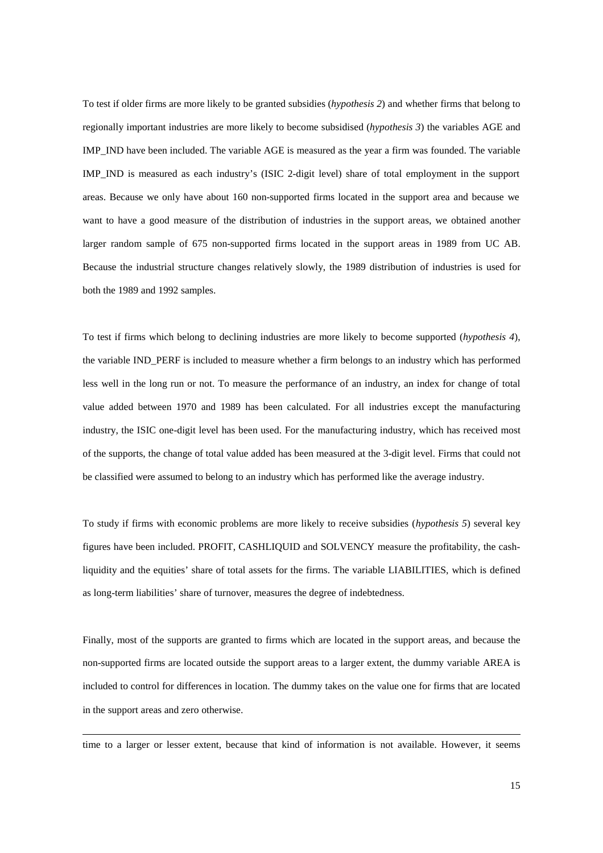To test if older firms are more likely to be granted subsidies (*hypothesis 2*) and whether firms that belong to regionally important industries are more likely to become subsidised (*hypothesis 3*) the variables AGE and IMP\_IND have been included. The variable AGE is measured as the year a firm was founded. The variable IMP\_IND is measured as each industry's (ISIC 2-digit level) share of total employment in the support areas. Because we only have about 160 non-supported firms located in the support area and because we want to have a good measure of the distribution of industries in the support areas, we obtained another larger random sample of 675 non-supported firms located in the support areas in 1989 from UC AB. Because the industrial structure changes relatively slowly, the 1989 distribution of industries is used for both the 1989 and 1992 samples.

To test if firms which belong to declining industries are more likely to become supported (*hypothesis 4*), the variable IND\_PERF is included to measure whether a firm belongs to an industry which has performed less well in the long run or not. To measure the performance of an industry, an index for change of total value added between 1970 and 1989 has been calculated. For all industries except the manufacturing industry, the ISIC one-digit level has been used. For the manufacturing industry, which has received most of the supports, the change of total value added has been measured at the 3-digit level. Firms that could not be classified were assumed to belong to an industry which has performed like the average industry.

To study if firms with economic problems are more likely to receive subsidies (*hypothesis 5*) several key figures have been included. PROFIT, CASHLIQUID and SOLVENCY measure the profitability, the cashliquidity and the equities' share of total assets for the firms. The variable LIABILITIES, which is defined as long-term liabilities' share of turnover, measures the degree of indebtedness.

Finally, most of the supports are granted to firms which are located in the support areas, and because the non-supported firms are located outside the support areas to a larger extent, the dummy variable AREA is included to control for differences in location. The dummy takes on the value one for firms that are located in the support areas and zero otherwise.

time to a larger or lesser extent, because that kind of information is not available. However, it seems

l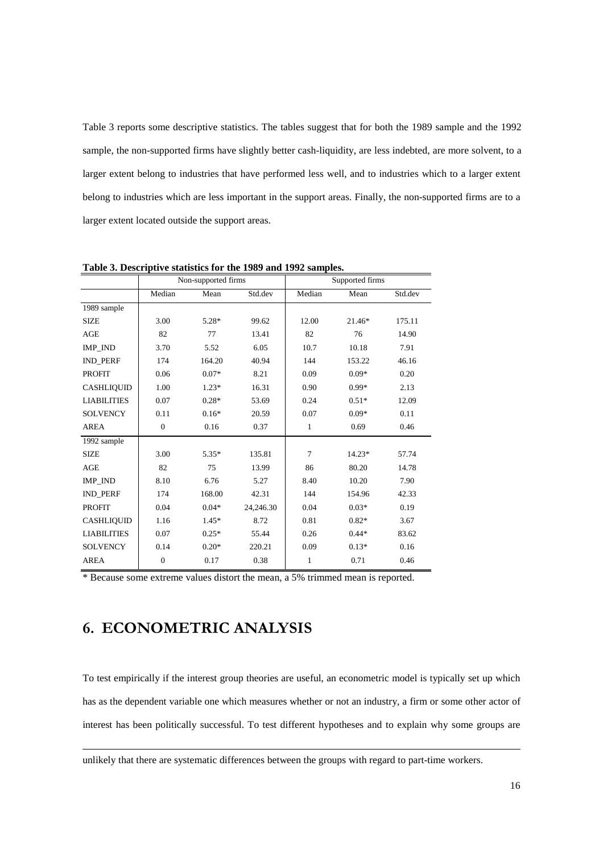Table 3 reports some descriptive statistics. The tables suggest that for both the 1989 sample and the 1992 sample, the non-supported firms have slightly better cash-liquidity, are less indebted, are more solvent, to a larger extent belong to industries that have performed less well, and to industries which to a larger extent belong to industries which are less important in the support areas. Finally, the non-supported firms are to a larger extent located outside the support areas.

|                    | Non-supported firms |         |           | Supported firms |         |         |
|--------------------|---------------------|---------|-----------|-----------------|---------|---------|
|                    | Median              | Mean    | Std.dev   | Median          | Mean    | Std.dev |
| 1989 sample        |                     |         |           |                 |         |         |
| <b>SIZE</b>        | 3.00                | $5.28*$ | 99.62     | 12.00           | 21.46*  | 175.11  |
| <b>AGE</b>         | 82                  | 77      | 13.41     | 82              | 76      | 14.90   |
| IMP IND            | 3.70                | 5.52    | 6.05      | 10.7            | 10.18   | 7.91    |
| IND_PERF           | 174                 | 164.20  | 40.94     | 144             | 153.22  | 46.16   |
| <b>PROFIT</b>      | 0.06                | $0.07*$ | 8.21      | 0.09            | $0.09*$ | 0.20    |
| <b>CASHLIQUID</b>  | 1.00                | $1.23*$ | 16.31     | 0.90            | $0.99*$ | 2.13    |
| <b>LIABILITIES</b> | 0.07                | $0.28*$ | 53.69     | 0.24            | $0.51*$ | 12.09   |
| <b>SOLVENCY</b>    | 0.11                | $0.16*$ | 20.59     | 0.07            | $0.09*$ | 0.11    |
| <b>AREA</b>        | $\mathbf{0}$        | 0.16    | 0.37      | 1               | 0.69    | 0.46    |
| 1992 sample        |                     |         |           |                 |         |         |
| <b>SIZE</b>        | 3.00                | $5.35*$ | 135.81    | $\overline{7}$  | 14.23*  | 57.74   |
| AGE                | 82                  | 75      | 13.99     | 86              | 80.20   | 14.78   |
| IMP IND            | 8.10                | 6.76    | 5.27      | 8.40            | 10.20   | 7.90    |
| <b>IND_PERF</b>    | 174                 | 168.00  | 42.31     | 144             | 154.96  | 42.33   |
| <b>PROFIT</b>      | 0.04                | $0.04*$ | 24,246.30 | 0.04            | $0.03*$ | 0.19    |
| <b>CASHLIQUID</b>  | 1.16                | $1.45*$ | 8.72      | 0.81            | $0.82*$ | 3.67    |
| <b>LIABILITIES</b> | 0.07                | $0.25*$ | 55.44     | 0.26            | $0.44*$ | 83.62   |
| <b>SOLVENCY</b>    | 0.14                | $0.20*$ | 220.21    | 0.09            | $0.13*$ | 0.16    |
| <b>AREA</b>        | $\boldsymbol{0}$    | 0.17    | 0.38      | $\mathbf{1}$    | 0.71    | 0.46    |

**Table 3. Descriptive statistics for the 1989 and 1992 samples.**

\* Because some extreme values distort the mean, a 5% trimmed mean is reported.

# 6. ECONOMETRIC ANALYSIS

-

To test empirically if the interest group theories are useful, an econometric model is typically set up which has as the dependent variable one which measures whether or not an industry, a firm or some other actor of interest has been politically successful. To test different hypotheses and to explain why some groups are

unlikely that there are systematic differences between the groups with regard to part-time workers.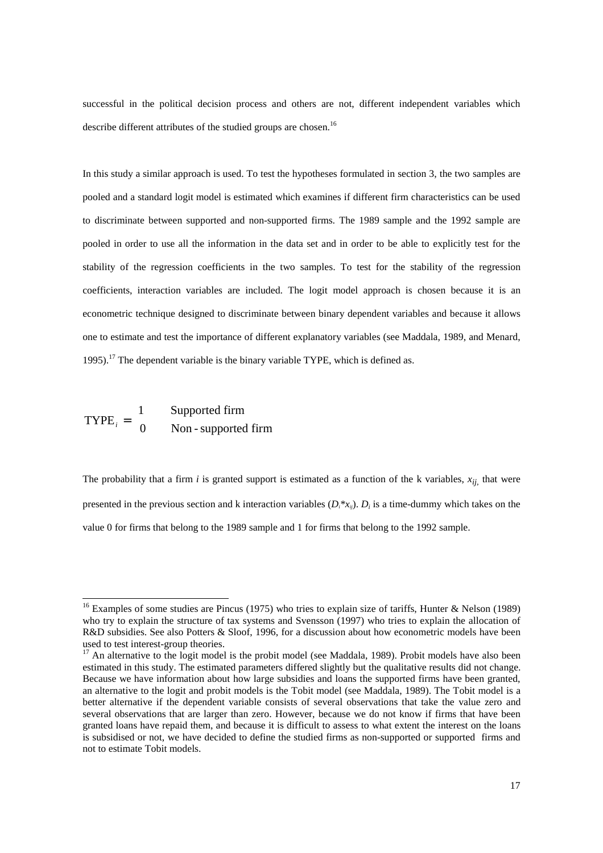successful in the political decision process and others are not, different independent variables which describe different attributes of the studied groups are chosen.<sup>16</sup>

In this study a similar approach is used. To test the hypotheses formulated in section 3, the two samples are pooled and a standard logit model is estimated which examines if different firm characteristics can be used to discriminate between supported and non-supported firms. The 1989 sample and the 1992 sample are pooled in order to use all the information in the data set and in order to be able to explicitly test for the stability of the regression coefficients in the two samples. To test for the stability of the regression coefficients, interaction variables are included. The logit model approach is chosen because it is an econometric technique designed to discriminate between binary dependent variables and because it allows one to estimate and test the importance of different explanatory variables (see Maddala, 1989, and Menard, 1995).<sup>17</sup> The dependent variable is the binary variable TYPE, which is defined as.

 $\text{TYPE}_i = \begin{cases} 1 & \text{Supported firm} \\ 0 & \text{Non-supported firm} \end{cases}$  $\mathsf{l}$ 1 0

l

The probability that a firm  $i$  is granted support is estimated as a function of the k variables,  $x_{ij}$ , that were presented in the previous section and k interaction variables  $(D_i * x_{ij})$ .  $D_i$  is a time-dummy which takes on the value 0 for firms that belong to the 1989 sample and 1 for firms that belong to the 1992 sample.

<sup>&</sup>lt;sup>16</sup> Examples of some studies are Pincus (1975) who tries to explain size of tariffs, Hunter & Nelson (1989) who try to explain the structure of tax systems and Svensson (1997) who tries to explain the allocation of R&D subsidies. See also Potters & Sloof, 1996, for a discussion about how econometric models have been used to test interest-group theories.

 $17$  An alternative to the logit model is the probit model (see Maddala, 1989). Probit models have also been estimated in this study. The estimated parameters differed slightly but the qualitative results did not change. Because we have information about how large subsidies and loans the supported firms have been granted, an alternative to the logit and probit models is the Tobit model (see Maddala, 1989). The Tobit model is a better alternative if the dependent variable consists of several observations that take the value zero and several observations that are larger than zero. However, because we do not know if firms that have been granted loans have repaid them, and because it is difficult to assess to what extent the interest on the loans is subsidised or not, we have decided to define the studied firms as non-supported or supported firms and not to estimate Tobit models.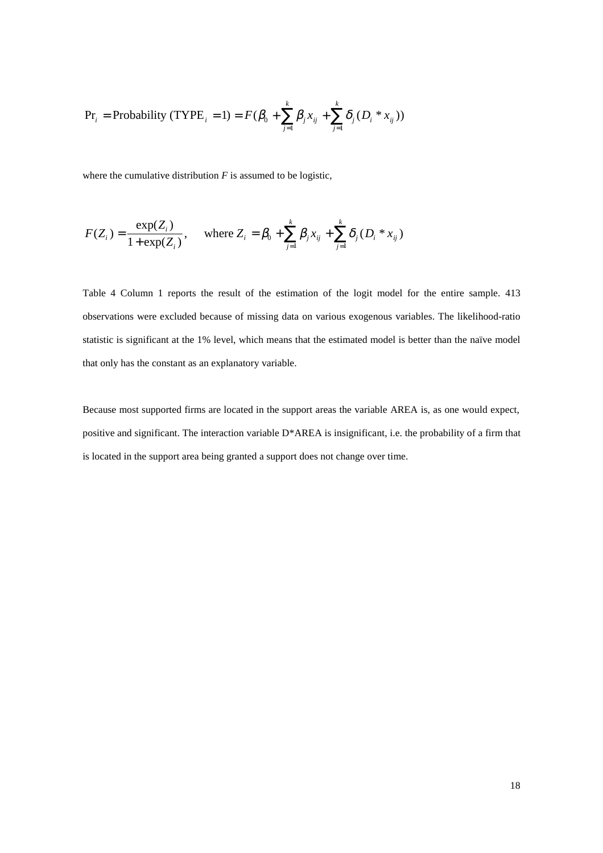$$
\Pr_{i} = \text{Probability (TYPE}_{i} = 1) = F(\beta_{0} + \sum_{j=1}^{k} \beta_{j} x_{ij} + \sum_{j=1}^{k} \delta_{j} (D_{i} * x_{ij}))
$$

where the cumulative distribution *F* is assumed to be logistic,

$$
F(Z_i) = \frac{\exp(Z_i)}{1 + \exp(Z_i)}, \quad \text{where } Z_i = \beta_0 + \sum_{j=1}^k \beta_j x_{ij} + \sum_{j=1}^k \delta_j (D_i * x_{ij})
$$

Table 4 Column 1 reports the result of the estimation of the logit model for the entire sample. 413 observations were excluded because of missing data on various exogenous variables. The likelihood-ratio statistic is significant at the 1% level, which means that the estimated model is better than the naïve model that only has the constant as an explanatory variable.

Because most supported firms are located in the support areas the variable AREA is, as one would expect, positive and significant. The interaction variable D\*AREA is insignificant, i.e. the probability of a firm that is located in the support area being granted a support does not change over time.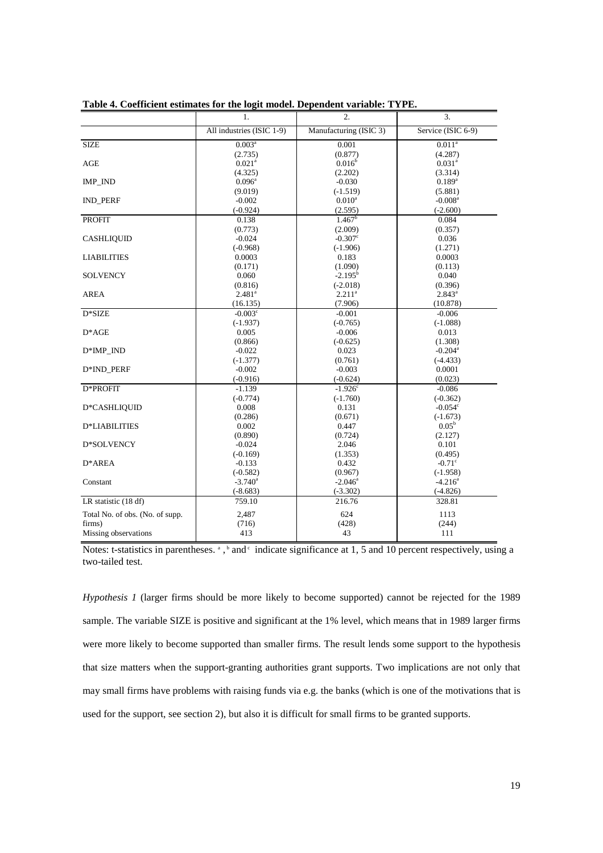|                                 | $\mathbf{1}$ .            | $\overline{2}$ .               | 3.                    |
|---------------------------------|---------------------------|--------------------------------|-----------------------|
|                                 | All industries (ISIC 1-9) | Manufacturing (ISIC 3)         | Service (ISIC 6-9)    |
| <b>SIZE</b>                     | 0.003 <sup>a</sup>        | 0.001                          | 0.011 <sup>a</sup>    |
|                                 | (2.735)                   | (0.877)                        | (4.287)               |
| <b>AGE</b>                      | $0.021$ <sup>a</sup>      | $0.016^{\rm b}$                | $0.031^{a}$           |
|                                 | (4.325)                   | (2.202)                        | (3.314)               |
| IMP_IND                         | $0.096^{\rm a}$           | $-0.030$                       | $0.189^{a}$           |
|                                 | (9.019)                   | $(-1.519)$                     | (5.881)               |
| <b>IND PERF</b>                 | $-0.002$                  | $0.010^a$                      | $-0.008$ <sup>a</sup> |
|                                 | $(-0.924)$                | (2.595)                        | $(-2.600)$            |
| <b>PROFIT</b>                   | 0.138                     | 1.467 <sup>b</sup>             | 0.084                 |
|                                 | (0.773)                   | (2.009)                        | (0.357)               |
| <b>CASHLIQUID</b>               | $-0.024$                  | $-0.307$ <sup>c</sup>          | 0.036                 |
|                                 | $(-0.968)$                | $(-1.906)$                     | (1.271)               |
| <b>LIABILITIES</b>              | 0.0003                    | 0.183                          | 0.0003                |
|                                 | (0.171)                   | (1.090)                        | (0.113)               |
| <b>SOLVENCY</b>                 | 0.060                     | $-2.195^{\rm b}$               | 0.040                 |
|                                 | (0.816)                   | $(-2.018)$                     | (0.396)               |
| <b>AREA</b>                     | 2.481 <sup>a</sup>        | 2.211 <sup>a</sup>             | $2.843^a$             |
|                                 | (16.135)                  | (7.906)                        | (10.878)              |
| D*SIZE                          | $-0.003^{\circ}$          | $-0.001$                       | $-0.006$              |
|                                 | $(-1.937)$                | $(-0.765)$                     | $(-1.088)$            |
| $D^*AGE$                        | 0.005                     | $-0.006$                       | 0.013                 |
|                                 | (0.866)                   | $(-0.625)$                     | (1.308)               |
| $D*IMP$ IND                     | $-0.022$                  | 0.023                          | $-0.204$ <sup>a</sup> |
|                                 | $(-1.377)$<br>$-0.002$    | (0.761)<br>$-0.003$            | $(-4.433)$<br>0.0001  |
| D*IND PERF                      |                           |                                |                       |
| D*PROFIT                        | $(-0.916)$<br>$-1.139$    | $(-0.624)$<br>$-1.926^{\circ}$ | (0.023)<br>$-0.086$   |
|                                 | $(-0.774)$                | $(-1.760)$                     | $(-0.362)$            |
| D*CASHLIQUID                    | 0.008                     | 0.131                          | $-0.054^{\circ}$      |
|                                 | (0.286)                   | (0.671)                        | $(-1.673)$            |
| <b>D*LIABILITIES</b>            | 0.002                     | 0.447                          | $0.05^{\rm b}$        |
|                                 | (0.890)                   | (0.724)                        | (2.127)               |
| D*SOLVENCY                      | $-0.024$                  | 2.046                          | 0.101                 |
|                                 | $(-0.169)$                | (1.353)                        | (0.495)               |
| $D^*AREA$                       | $-0.133$                  | 0.432                          | $-0.71^{\circ}$       |
|                                 | $(-0.582)$                | (0.967)                        | $(-1.958)$            |
| Constant                        | $-3.740$ <sup>a</sup>     | $-2.046^a$                     | $-4.216^a$            |
|                                 | $(-8.683)$                | $(-3.302)$                     | $(-4.826)$            |
| LR statistic (18 df)            | 759.10                    | 216.76                         | 328.81                |
| Total No. of obs. (No. of supp. | 2.487                     | 624                            | 1113                  |
| firms)                          | (716)                     | (428)                          | (244)                 |
| Missing observations            | 413                       | 43                             | 111                   |
|                                 |                           |                                |                       |

**Table 4. Coefficient estimates for the logit model. Dependent variable: TYPE.**

Notes: t-statistics in parentheses.  $a, b$  and  $c$  indicate significance at 1, 5 and 10 percent respectively, using a two-tailed test.

*Hypothesis 1* (larger firms should be more likely to become supported) cannot be rejected for the 1989 sample. The variable SIZE is positive and significant at the 1% level, which means that in 1989 larger firms were more likely to become supported than smaller firms. The result lends some support to the hypothesis that size matters when the support-granting authorities grant supports. Two implications are not only that may small firms have problems with raising funds via e.g. the banks (which is one of the motivations that is used for the support, see section 2), but also it is difficult for small firms to be granted supports.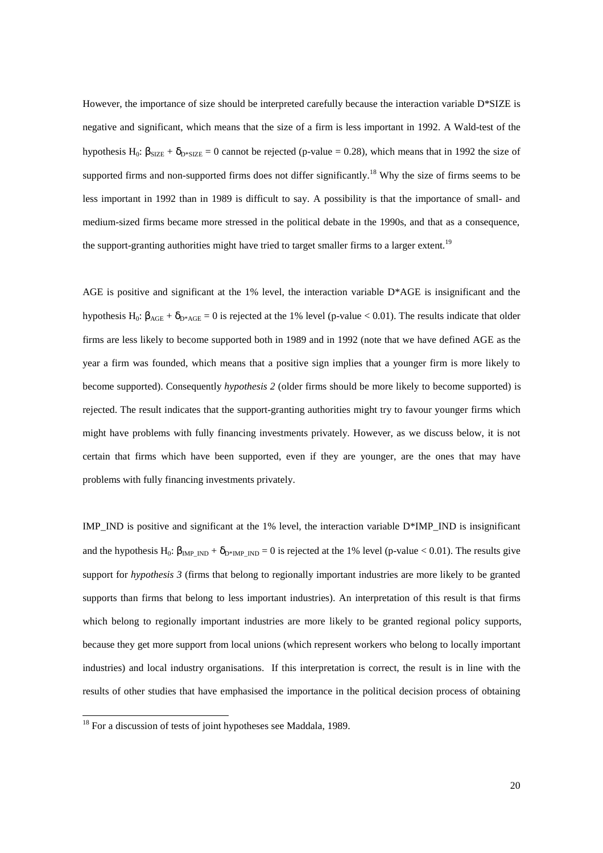However, the importance of size should be interpreted carefully because the interaction variable D\*SIZE is negative and significant, which means that the size of a firm is less important in 1992. A Wald-test of the hypothesis H<sub>0</sub>:  $\beta_{\text{SIZE}} + \delta_{\text{D*SIZE}} = 0$  cannot be rejected (p-value = 0.28), which means that in 1992 the size of supported firms and non-supported firms does not differ significantly.<sup>18</sup> Why the size of firms seems to be less important in 1992 than in 1989 is difficult to say. A possibility is that the importance of small- and medium-sized firms became more stressed in the political debate in the 1990s, and that as a consequence, the support-granting authorities might have tried to target smaller firms to a larger extent.<sup>19</sup>

AGE is positive and significant at the 1% level, the interaction variable D\*AGE is insignificant and the hypothesis H<sub>0</sub>:  $\beta_{\text{AGE}} + \delta_{\text{D*AGE}} = 0$  is rejected at the 1% level (p-value < 0.01). The results indicate that older firms are less likely to become supported both in 1989 and in 1992 (note that we have defined AGE as the year a firm was founded, which means that a positive sign implies that a younger firm is more likely to become supported). Consequently *hypothesis 2* (older firms should be more likely to become supported) is rejected. The result indicates that the support-granting authorities might try to favour younger firms which might have problems with fully financing investments privately. However, as we discuss below, it is not certain that firms which have been supported, even if they are younger, are the ones that may have problems with fully financing investments privately.

IMP\_IND is positive and significant at the  $1\%$  level, the interaction variable D\*IMP\_IND is insignificant and the hypothesis H<sub>0</sub>:  $\beta_{\text{IMP}}$ <sub>IND</sub> +  $\delta_{\text{D*IMP}}$ <sub>IND</sub> = 0 is rejected at the 1% level (p-value < 0.01). The results give support for *hypothesis 3* (firms that belong to regionally important industries are more likely to be granted supports than firms that belong to less important industries). An interpretation of this result is that firms which belong to regionally important industries are more likely to be granted regional policy supports, because they get more support from local unions (which represent workers who belong to locally important industries) and local industry organisations. If this interpretation is correct, the result is in line with the results of other studies that have emphasised the importance in the political decision process of obtaining

l

 $18$  For a discussion of tests of joint hypotheses see Maddala, 1989.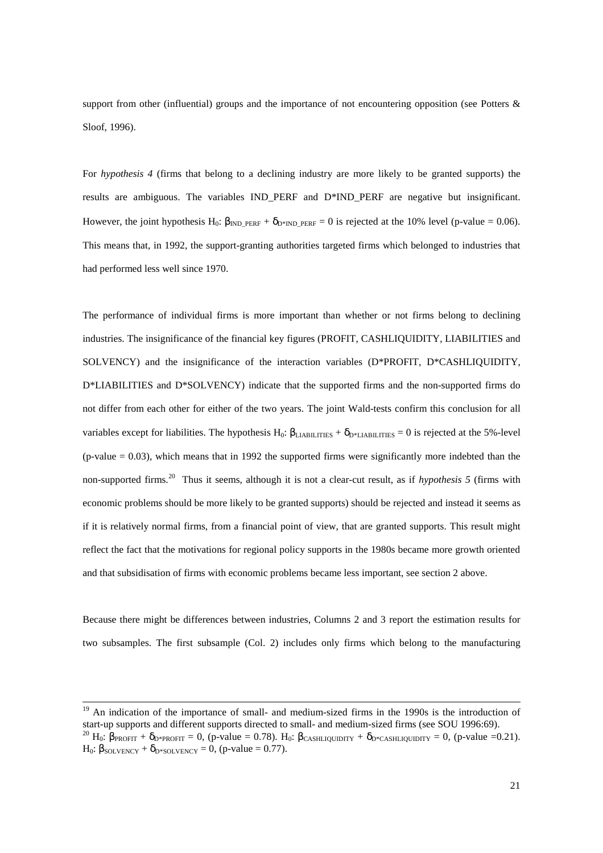support from other (influential) groups and the importance of not encountering opposition (see Potters & Sloof, 1996).

For *hypothesis 4* (firms that belong to a declining industry are more likely to be granted supports) the results are ambiguous. The variables IND\_PERF and D\*IND\_PERF are negative but insignificant. However, the joint hypothesis H<sub>0</sub>:  $\beta_{\text{IND}}$  <sub>PERF</sub> +  $\delta_{\text{D*IND}}$  <sub>PERF</sub> = 0 is rejected at the 10% level (p-value = 0.06). This means that, in 1992, the support-granting authorities targeted firms which belonged to industries that had performed less well since 1970.

The performance of individual firms is more important than whether or not firms belong to declining industries. The insignificance of the financial key figures (PROFIT, CASHLIQUIDITY, LIABILITIES and SOLVENCY) and the insignificance of the interaction variables (D\*PROFIT, D\*CASHLIQUIDITY, D\*LIABILITIES and D\*SOLVENCY) indicate that the supported firms and the non-supported firms do not differ from each other for either of the two years. The joint Wald-tests confirm this conclusion for all variables except for liabilities. The hypothesis H<sub>0</sub>:  $\beta_{\text{LIABLITIES}} + \delta_{\text{D*LIABLITIES}} = 0$  is rejected at the 5%-level  $(p-value = 0.03)$ , which means that in 1992 the supported firms were significantly more indebted than the non-supported firms.20 Thus it seems, although it is not a clear-cut result, as if *hypothesis 5* (firms with economic problems should be more likely to be granted supports) should be rejected and instead it seems as if it is relatively normal firms, from a financial point of view, that are granted supports. This result might reflect the fact that the motivations for regional policy supports in the 1980s became more growth oriented and that subsidisation of firms with economic problems became less important, see section 2 above.

Because there might be differences between industries, Columns 2 and 3 report the estimation results for two subsamples. The first subsample (Col. 2) includes only firms which belong to the manufacturing

<sup>&</sup>lt;sup>19</sup> An indication of the importance of small- and medium-sized firms in the 1990s is the introduction of start-up supports and different supports directed to small- and medium-sized firms (see SOU 1996:69). <sup>20</sup> H<sub>0</sub>:  $\beta_{\text{PROFIT}} + \delta_{\text{D*PROFIT}} = 0$ , (p-value = 0.78). H<sub>0</sub>:  $\beta_{\text{CASHLIQUIDITY}} + \delta_{\text{D*CASHLIQUIDITY}} = 0$ , (p-value =0.21). H<sub>0</sub>:  $\beta_{\text{SOL VENCY}} + \delta_{\text{D*SOL VENCY}} = 0$ , (p-value = 0.77).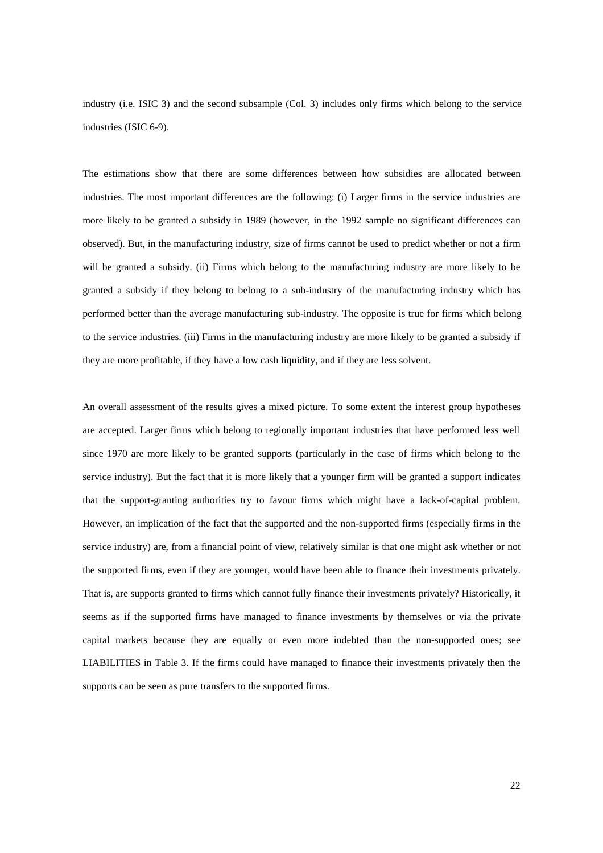industry (i.e. ISIC 3) and the second subsample (Col. 3) includes only firms which belong to the service industries (ISIC 6-9).

The estimations show that there are some differences between how subsidies are allocated between industries. The most important differences are the following: (i) Larger firms in the service industries are more likely to be granted a subsidy in 1989 (however, in the 1992 sample no significant differences can observed). But, in the manufacturing industry, size of firms cannot be used to predict whether or not a firm will be granted a subsidy. (ii) Firms which belong to the manufacturing industry are more likely to be granted a subsidy if they belong to belong to a sub-industry of the manufacturing industry which has performed better than the average manufacturing sub-industry. The opposite is true for firms which belong to the service industries. (iii) Firms in the manufacturing industry are more likely to be granted a subsidy if they are more profitable, if they have a low cash liquidity, and if they are less solvent.

An overall assessment of the results gives a mixed picture. To some extent the interest group hypotheses are accepted. Larger firms which belong to regionally important industries that have performed less well since 1970 are more likely to be granted supports (particularly in the case of firms which belong to the service industry). But the fact that it is more likely that a younger firm will be granted a support indicates that the support-granting authorities try to favour firms which might have a lack-of-capital problem. However, an implication of the fact that the supported and the non-supported firms (especially firms in the service industry) are, from a financial point of view, relatively similar is that one might ask whether or not the supported firms, even if they are younger, would have been able to finance their investments privately. That is, are supports granted to firms which cannot fully finance their investments privately? Historically, it seems as if the supported firms have managed to finance investments by themselves or via the private capital markets because they are equally or even more indebted than the non-supported ones; see LIABILITIES in Table 3. If the firms could have managed to finance their investments privately then the supports can be seen as pure transfers to the supported firms.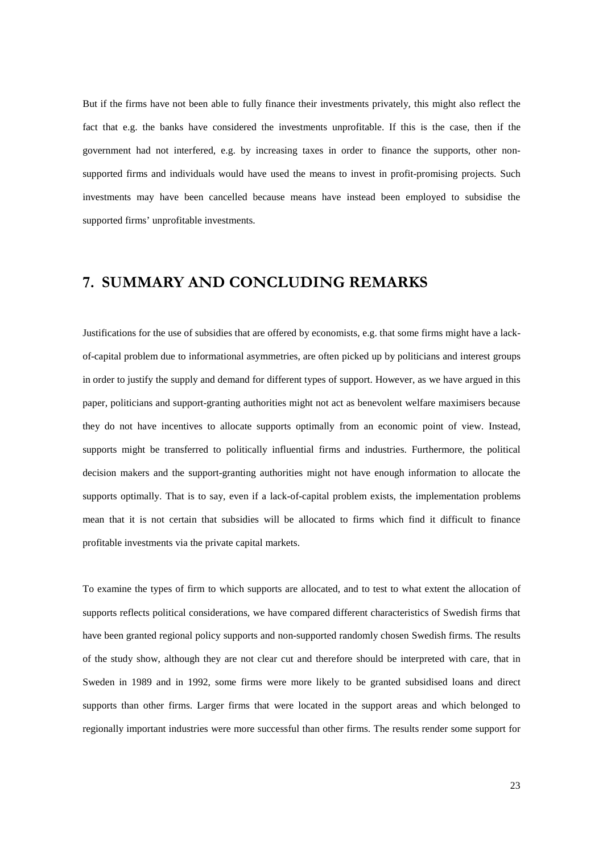But if the firms have not been able to fully finance their investments privately, this might also reflect the fact that e.g. the banks have considered the investments unprofitable. If this is the case, then if the government had not interfered, e.g. by increasing taxes in order to finance the supports, other nonsupported firms and individuals would have used the means to invest in profit-promising projects. Such investments may have been cancelled because means have instead been employed to subsidise the supported firms' unprofitable investments.

# 7. SUMMARY AND CONCLUDING REMARKS

Justifications for the use of subsidies that are offered by economists, e.g. that some firms might have a lackof-capital problem due to informational asymmetries, are often picked up by politicians and interest groups in order to justify the supply and demand for different types of support. However, as we have argued in this paper, politicians and support-granting authorities might not act as benevolent welfare maximisers because they do not have incentives to allocate supports optimally from an economic point of view. Instead, supports might be transferred to politically influential firms and industries. Furthermore, the political decision makers and the support-granting authorities might not have enough information to allocate the supports optimally. That is to say, even if a lack-of-capital problem exists, the implementation problems mean that it is not certain that subsidies will be allocated to firms which find it difficult to finance profitable investments via the private capital markets.

To examine the types of firm to which supports are allocated, and to test to what extent the allocation of supports reflects political considerations, we have compared different characteristics of Swedish firms that have been granted regional policy supports and non-supported randomly chosen Swedish firms. The results of the study show, although they are not clear cut and therefore should be interpreted with care, that in Sweden in 1989 and in 1992, some firms were more likely to be granted subsidised loans and direct supports than other firms. Larger firms that were located in the support areas and which belonged to regionally important industries were more successful than other firms. The results render some support for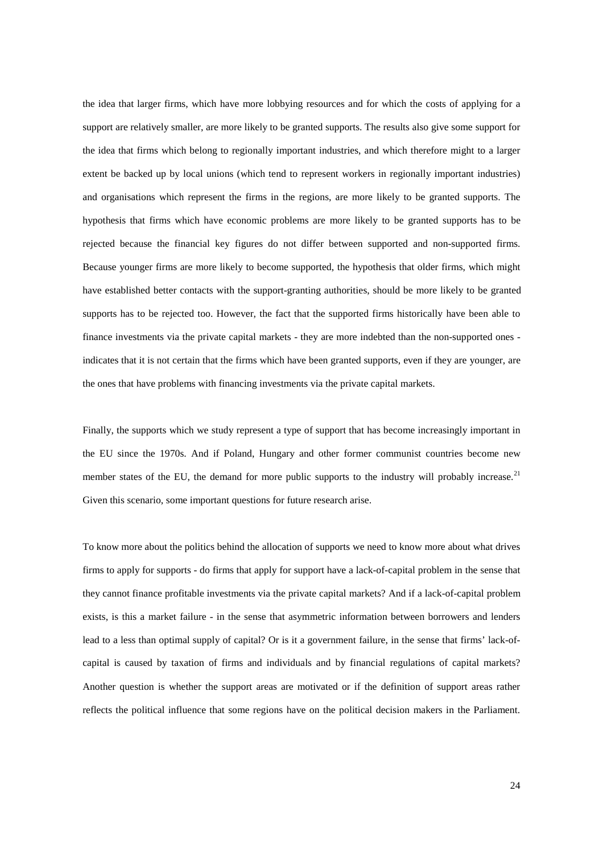the idea that larger firms, which have more lobbying resources and for which the costs of applying for a support are relatively smaller, are more likely to be granted supports. The results also give some support for the idea that firms which belong to regionally important industries, and which therefore might to a larger extent be backed up by local unions (which tend to represent workers in regionally important industries) and organisations which represent the firms in the regions, are more likely to be granted supports. The hypothesis that firms which have economic problems are more likely to be granted supports has to be rejected because the financial key figures do not differ between supported and non-supported firms. Because younger firms are more likely to become supported, the hypothesis that older firms, which might have established better contacts with the support-granting authorities, should be more likely to be granted supports has to be rejected too. However, the fact that the supported firms historically have been able to finance investments via the private capital markets - they are more indebted than the non-supported ones indicates that it is not certain that the firms which have been granted supports, even if they are younger, are the ones that have problems with financing investments via the private capital markets.

Finally, the supports which we study represent a type of support that has become increasingly important in the EU since the 1970s. And if Poland, Hungary and other former communist countries become new member states of the EU, the demand for more public supports to the industry will probably increase.<sup>21</sup> Given this scenario, some important questions for future research arise.

To know more about the politics behind the allocation of supports we need to know more about what drives firms to apply for supports - do firms that apply for support have a lack-of-capital problem in the sense that they cannot finance profitable investments via the private capital markets? And if a lack-of-capital problem exists, is this a market failure - in the sense that asymmetric information between borrowers and lenders lead to a less than optimal supply of capital? Or is it a government failure, in the sense that firms' lack-ofcapital is caused by taxation of firms and individuals and by financial regulations of capital markets? Another question is whether the support areas are motivated or if the definition of support areas rather reflects the political influence that some regions have on the political decision makers in the Parliament.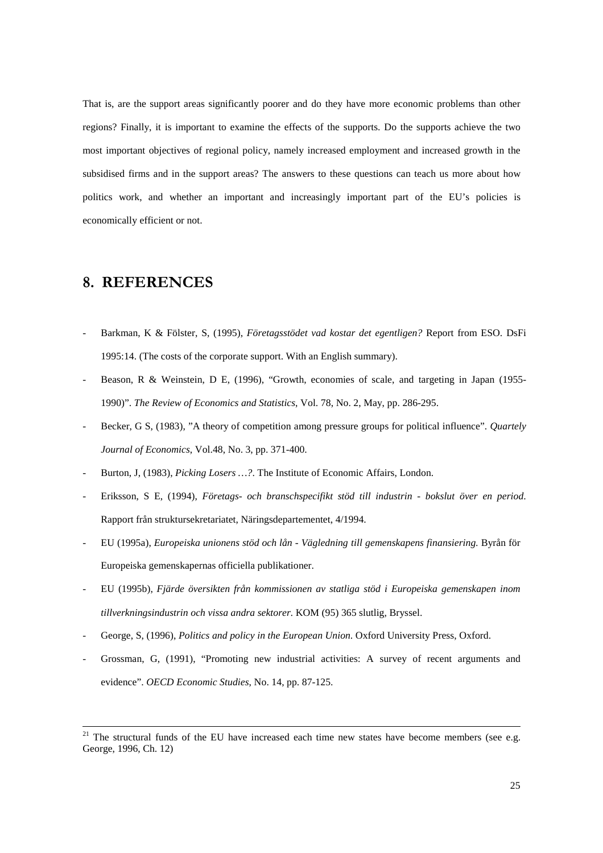That is, are the support areas significantly poorer and do they have more economic problems than other regions? Finally, it is important to examine the effects of the supports. Do the supports achieve the two most important objectives of regional policy, namely increased employment and increased growth in the subsidised firms and in the support areas? The answers to these questions can teach us more about how politics work, and whether an important and increasingly important part of the EU's policies is economically efficient or not.

### 8. REFERENCES

- Barkman, K & Fölster, S, (1995), *Företagsstödet vad kostar det egentligen?* Report from ESO. DsFi 1995:14. (The costs of the corporate support. With an English summary).
- Beason, R & Weinstein, D E, (1996), "Growth, economies of scale, and targeting in Japan (1955-1990)". *The Review of Economics and Statistics*, Vol. 78, No. 2, May, pp. 286-295.
- Becker, G S, (1983), "A theory of competition among pressure groups for political influence". *Quartely Journal of Economics*, Vol.48, No. 3, pp. 371-400.
- Burton, J, (1983), *Picking Losers ...?*. The Institute of Economic Affairs, London.
- Eriksson, S E, (1994), *Företags- och branschspecifikt stöd till industrin bokslut över en period*. Rapport från struktursekretariatet, Näringsdepartementet, 4/1994.
- EU (1995a), *Europeiska unionens stöd och lån Vägledning till gemenskapens finansiering*. Byrån för Europeiska gemenskapernas officiella publikationer.
- EU (1995b), *Fjärde översikten från kommissionen av statliga stöd i Europeiska gemenskapen inom tillverkningsindustrin och vissa andra sektorer.* KOM (95) 365 slutlig, Bryssel.
- George, S, (1996), *Politics and policy in the European Union*. Oxford University Press, Oxford.
- Grossman, G, (1991), "Promoting new industrial activities: A survey of recent arguments and evidence". *OECD Economic Studies*, No. 14, pp. 87-125.

 $21$  The structural funds of the EU have increased each time new states have become members (see e.g. George, 1996, Ch. 12)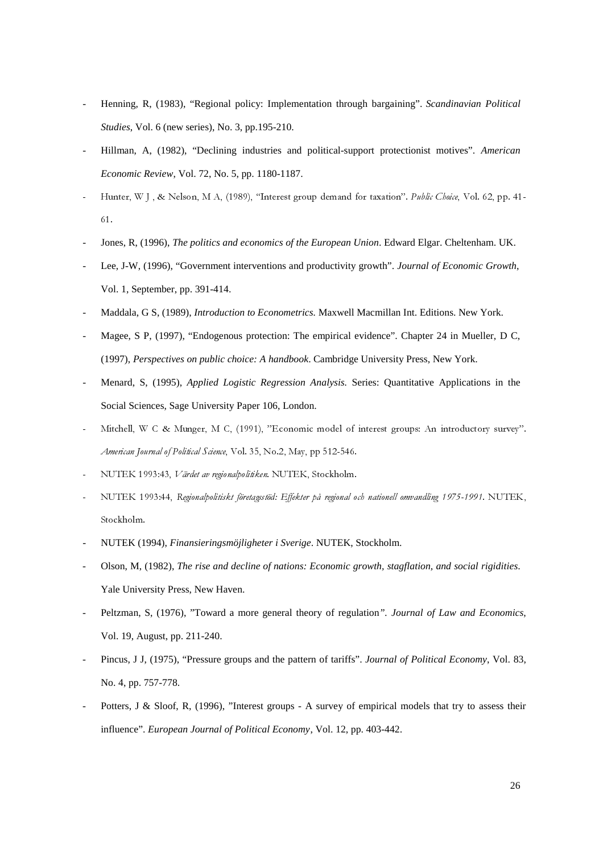- Henning, R, (1983), "Regional policy: Implementation through bargaining". *Scandinavian Political Studies*, Vol. 6 (new series), No. 3, pp.195-210.
- Hillman, A, (1982), "Declining industries and political-support protectionist motives". *American Economic Review*, Vol. 72, No. 5, pp. 1180-1187.
- Hunter, W J, & Nelson, M A, (1989), "Interest group demand for taxation". Public Choice, Vol. 62, pp. 41- $61.$
- Jones, R, (1996), *The politics and economics of the European Union*. Edward Elgar. Cheltenham. UK.
- Lee, J-W, (1996), "Government interventions and productivity growth". *Journal of Economic Growth*, Vol. 1, September, pp. 391-414.
- Maddala, G S, (1989), *Introduction to Econometrics.* Maxwell Macmillan Int. Editions. New York.
- Magee, S P, (1997), "Endogenous protection: The empirical evidence". Chapter 24 in Mueller, D C, (1997), *Perspectives on public choice: A handbook*. Cambridge University Press, New York.
- Menard, S, (1995), *Applied Logistic Regression Analysis.* Series: Quantitative Applications in the Social Sciences, Sage University Paper 106, London.
- Mitchell, W C & Munger, M C, (1991), "Economic model of interest groups: An introductory survey". American Journal of Political Science, Vol. 35, No.2, May, pp 512-546.
- NUTEK 1993:43, Värdet av regionalpolitiken. NUTEK, Stockholm.
- NUTEK 1993:44, Regionalpolitiskt företagsstöd: Effekter på regional och nationell omvandling 1975-1991. NUTEK, Stockholm.
- NUTEK (1994), *Finansieringsmöjligheter i Sverige*. NUTEK, Stockholm.
- Olson, M, (1982), *The rise and decline of nations: Economic growth, stagflation, and social rigidities*. Yale University Press, New Haven.
- Peltzman, S, (1976), "Toward a more general theory of regulation*". Journal of Law and Economics*, Vol. 19, August, pp. 211-240.
- Pincus, J J, (1975), "Pressure groups and the pattern of tariffs". *Journal of Political Economy*, Vol. 83, No. 4, pp. 757-778.
- Potters, J & Sloof, R, (1996), "Interest groups A survey of empirical models that try to assess their influence". *European Journal of Political Economy*, Vol. 12, pp. 403-442.